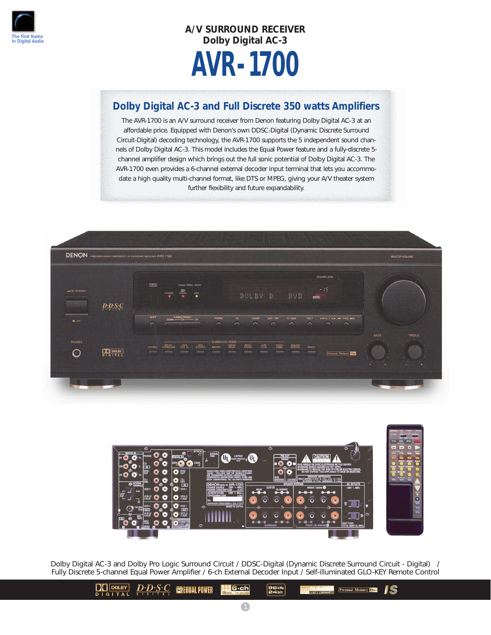

# **A/V SURROUND RECEIVER Dolby Digital AC-3 AVR-1700**

## **Dolby Digital AC-3 and Full Discrete 350 watts Amplifiers**

The AVR-1700 is an A/V surround receiver from Denon featuring Dolby Digital AC-3 at an affordable price. Equipped with Denon's own DDSC-Digital (Dynamic Discrete Surround Circuit-Digital) decoding technology, the AVR-1700 supports the 5 independent sound channels of Dolby Digital AC-3. This model includes the Equal Power feature and a fully-discrete 5 channel amplifier design which brings out the full sonic potential of Dolby Digital AC-3. The AVR-1700 even provides a 6-channel external decoder input terminal that lets you accommodate a high quality multi-channel format, like DTS or MPEG, giving your A/V theater system further flexibility and future expandability.





Dolby Digital AC-3 and Dolby Pro Logic Surround Circuit / DDSC-Digital (Dynamic Discrete Surround Circuit - Digital) / Fully Discrete 5-channel Equal Power Amplifier / 6-ch External Decoder Input / Self-illuminated GLO-KEY Remote Control

> $\boxed{\phantom{1}}$  DOLBY  $\left[ \begin{array}{ccc} D \cdot D \cdot S \cdot C \\ E \end{array} \right]$  is found power **MG-ch** 96kHz<br>Pahit **EV Personal Memory Plus** 15 **DIGITAL**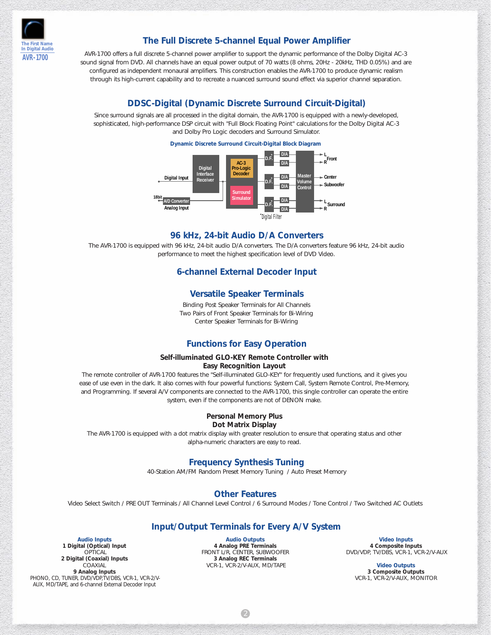

### **The Full Discrete 5-channel Equal Power Amplifier**

AVR-1700 offers a full discrete 5-channel power amplifier to support the dynamic performance of the Dolby Digital AC-3 sound signal from DVD. All channels have an equal power output of 70 watts (8 ohms, 20Hz - 20kHz, THD 0.05%) and are configured as independent monaural amplifiers. This construction enables the AVR-1700 to produce dynamic realism through its high-current capability and to recreate a nuanced surround sound effect via superior channel separation.

#### **DDSC-Digital (Dynamic Discrete Surround Circuit-Digital)**

Since surround signals are all processed in the digital domain, the AVR-1700 is equipped with a newly-developed, sophisticated, high-performance DSP circuit with "Full Block Floating Point" calculations for the Dolby Digital AC-3 and Dolby Pro Logic decoders and Surround Simulator.



#### **Dynamic Discrete Surround Circuit-Digital Block Diagram**

#### **96 kHz, 24-bit Audio D/A Converters**

The AVR-1700 is equipped with 96 kHz, 24-bit audio D/A converters. The D/A converters feature 96 kHz, 24-bit audio performance to meet the highest specification level of DVD Video.

#### **6-channel External Decoder Input**

#### **Versatile Speaker Terminals**

Binding Post Speaker Terminals for All Channels Two Pairs of Front Speaker Terminals for Bi-Wiring Center Speaker Terminals for Bi-Wiring

#### **Functions for Easy Operation**

#### **Self-illuminated GLO-KEY Remote Controller with Easy Recognition Layout**

The remote controller of AVR-1700 features the "Self-illuminated GLO-KEY" for frequently used functions, and it gives you ease of use even in the dark. It also comes with four powerful functions: System Call, System Remote Control, Pre-Memory, and Programming. If several A/V components are connected to the AVR-1700, this single controller can operate the entire system, even if the components are not of DENON make.

#### **Personal Memory Plus Dot Matrix Display**

The AVR-1700 is equipped with a dot matrix display with greater resolution to ensure that operating status and other alpha-numeric characters are easy to read.

## **Frequency Synthesis Tuning**

40-Station AM/FM Random Preset Memory Tuning / Auto Preset Memory

## **Other Features**

Video Select Switch / PRE OUT Terminals / All Channel Level Control / 6 Surround Modes / Tone Control / Two Switched AC Outlets

#### **Input/Output Terminals for Every A/V System**

**Audio Inputs 1 Digital (Optical) Input OPTICAL 2 Digital (Coaxial) Inputs COAXIAL 9 Analog Inputs** PHONO, CD, TUNER, DVD/VDP, TV/DBS, VCR-1, VCR-2/V-AUX, MD/TAPE, and 6-channel External Decoder Input

**Audio Outputs 4 Analog PRE Terminals** FRONT L/R, CENTER, SUBWOOFER **3 Analog REC Terminals** VCR-1, VCR-2/V-AUX, MD/TAPE

2

**Video Inputs 4 Composite Inputs** DVD/VDP, TV/DBS, VCR-1, VCR-2/V-AUX

> **Video Outputs 3 Composite Outputs** VCR-1, VCR-2/V-AUX, MONITOR